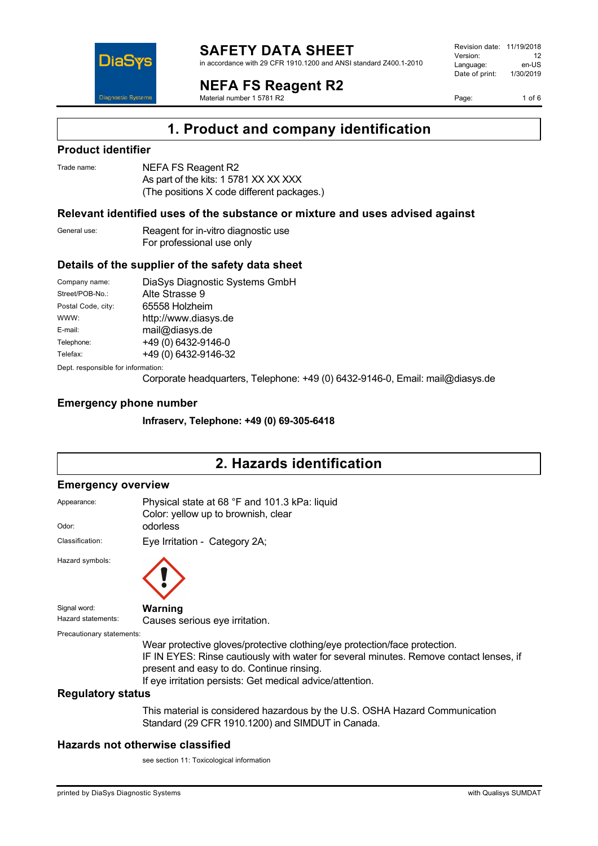

in accordance with 29 CFR 1910.1200 and ANSI standard Z400.1-2010

**NEFA FS Reagent R2**

Material number 1 5781 R2

Revision date: 11/19/2018 Version: 12<br>Language: en-LIS Language: en-US<br>Date of print: 1/30/2019  $Date$  of print:

Page: 1 of 6



## **Product identifier**

| Trade name: | <b>NEF</b> |
|-------------|------------|
|             |            |

**DiaS** 

**Diagnostic System** 

FA FS Reagent R2 As part of the kits: 1 5781 XX XX XXX (The positions X code different packages.)

### **Relevant identified uses of the substance or mixture and uses advised against**

General use: Reagent for in-vitro diagnostic use For professional use only

#### **Details of the supplier of the safety data sheet**

Company name: DiaSys Diagnostic Systems GmbH Street/POB-No.: Alte Strasse 9 Postal Code, city: 65558 Holzheim WWW: <http://www.diasys.de> E-mail: mail@diasys.de Telephone: +49 (0) 6432-9146-0 Telefax: +49 (0) 6432-9146-32 Dept. responsible for information:

Corporate headquarters, Telephone: +49 (0) 6432-9146-0, Email: mail@diasys.de

#### **Emergency phone number**

**Infraserv, Telephone: +49 (0) 69-305-6418**

# **2. Hazards identification**

#### **Emergency overview**

| Appearance:               | Physical state at 68 °F and 101.3 kPa: liquid<br>Color: yellow up to brownish, clear                                                                                                                                                                                           |
|---------------------------|--------------------------------------------------------------------------------------------------------------------------------------------------------------------------------------------------------------------------------------------------------------------------------|
| Odor:                     | odorless                                                                                                                                                                                                                                                                       |
| Classification:           | Eye Irritation - Category 2A;                                                                                                                                                                                                                                                  |
| Hazard symbols:           |                                                                                                                                                                                                                                                                                |
| Signal word:              | Warning                                                                                                                                                                                                                                                                        |
| Hazard statements:        | Causes serious eye irritation.                                                                                                                                                                                                                                                 |
| Precautionary statements: |                                                                                                                                                                                                                                                                                |
|                           | Wear protective gloves/protective clothing/eye protection/face protection.<br>IF IN EYES: Rinse cautiously with water for several minutes. Remove contact lenses, if<br>present and easy to do. Continue rinsing.<br>If eye irritation persists: Get medical advice/attention. |
| <b>Regulatory status</b>  |                                                                                                                                                                                                                                                                                |
|                           | This material is considered hazardous by the U.S. OSHA Hazard Communication<br>Standard (29 CFR 1910.1200) and SIMDUT in Canada.                                                                                                                                               |

### **Hazards not otherwise classified**

see section 11: Toxicological information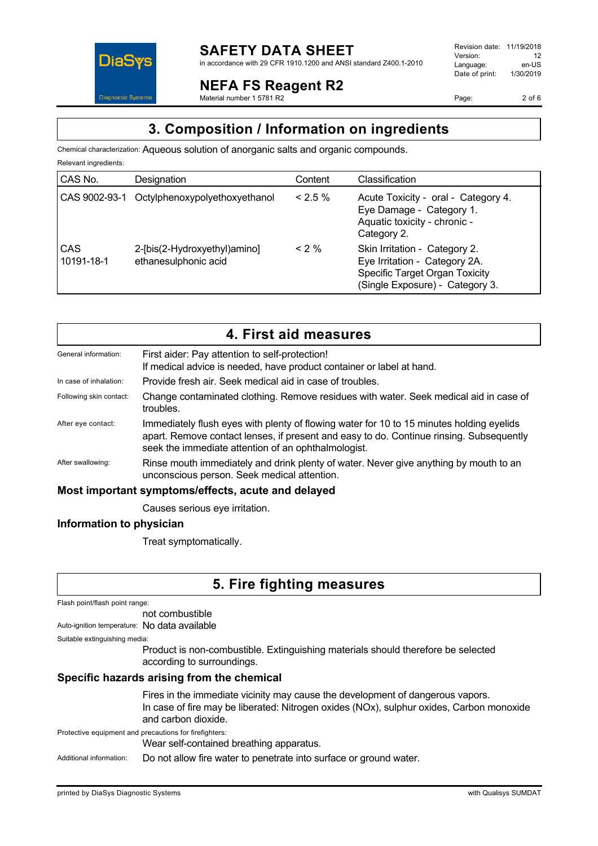

## **NEFA FS Reagent R2**

Material number 1 5781 R2

Revision date: 11/19/2018 Version: 12<br>Language: en-LIS Language: Date of print: 1/30/2019

Page: 2 of 6

# **3. Composition / Information on ingredients**

Chemical characterization: Aqueous solution of anorganic salts and organic compounds.

| Relevant ingredients: |                                                      |           |                                                                                                                                     |
|-----------------------|------------------------------------------------------|-----------|-------------------------------------------------------------------------------------------------------------------------------------|
| CAS No.               | Designation                                          | Content   | Classification                                                                                                                      |
| CAS 9002-93-1         | Octylphenoxypolyethoxyethanol                        | $< 2.5\%$ | Acute Toxicity - oral - Category 4.<br>Eye Damage - Category 1.<br>Aquatic toxicity - chronic -<br>Category 2.                      |
| CAS<br>10191-18-1     | 2-[bis(2-Hydroxyethyl)amino]<br>ethanesulphonic acid | $< 2\%$   | Skin Irritation - Category 2.<br>Eye Irritation - Category 2A.<br>Specific Target Organ Toxicity<br>(Single Exposure) - Category 3. |

| 4. First aid measures                              |                                                                                                                                                                                                                                            |  |
|----------------------------------------------------|--------------------------------------------------------------------------------------------------------------------------------------------------------------------------------------------------------------------------------------------|--|
| General information:                               | First aider: Pay attention to self-protection!<br>If medical advice is needed, have product container or label at hand.                                                                                                                    |  |
| In case of inhalation:                             | Provide fresh air. Seek medical aid in case of troubles.                                                                                                                                                                                   |  |
| Following skin contact:                            | Change contaminated clothing. Remove residues with water. Seek medical aid in case of<br>troubles.                                                                                                                                         |  |
| After eye contact:                                 | Immediately flush eyes with plenty of flowing water for 10 to 15 minutes holding eyelids<br>apart. Remove contact lenses, if present and easy to do. Continue rinsing. Subsequently<br>seek the immediate attention of an ophthalmologist. |  |
| After swallowing:                                  | Rinse mouth immediately and drink plenty of water. Never give anything by mouth to an<br>unconscious person. Seek medical attention.                                                                                                       |  |
| Most important symptoms/effects, acute and delayed |                                                                                                                                                                                                                                            |  |
|                                                    | Causes serious eye irritation.                                                                                                                                                                                                             |  |

## **Information to physician**

Treat symptomatically.

# **5. Fire fighting measures**

Flash point/flash point range:

not combustible

Auto-ignition temperature: No data available

Suitable extinguishing media:

Product is non-combustible. Extinguishing materials should therefore be selected according to surroundings.

## **Specific hazards arising from the chemical**

Fires in the immediate vicinity may cause the development of dangerous vapors. In case of fire may be liberated: Nitrogen oxides (NOx), sulphur oxides, Carbon monoxide and carbon dioxide.

Protective equipment and precautions for firefighters:

Wear self-contained breathing apparatus.

Additional information: Do not allow fire water to penetrate into surface or ground water.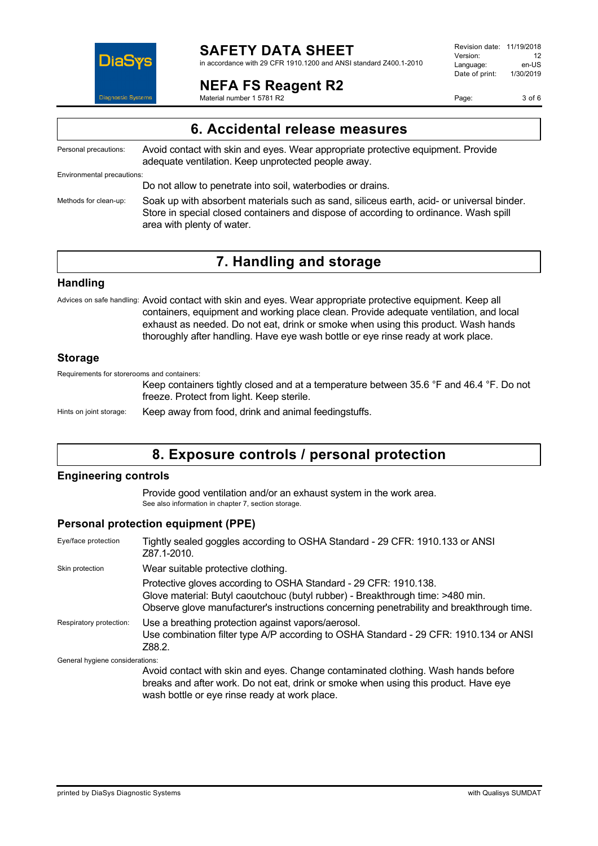

in accordance with 29 CFR 1910.1200 and ANSI standard Z400.1-2010

## **NEFA FS Reagent R2**

Material number 1 5781 R2

Revision date: 11/19/2018 Version: 12<br>Language: en-LIS Language: en-US<br>Date of print: 1/30/2019  $Date$  of print:

Page: 3 of 6

Personal precautions: Avoid contact with skin and eyes. Wear appropriate protective equipment. Provide adequate ventilation. Keep unprotected people away.

Environmental precautions:

Do not allow to penetrate into soil, waterbodies or drains.

Methods for clean-up: Soak up with absorbent materials such as sand, siliceus earth, acid- or universal binder. Store in special closed containers and dispose of according to ordinance. Wash spill area with plenty of water.

# **7. Handling and storage**

### **Handling**

Advices on safe handling: Avoid contact with skin and eyes. Wear appropriate protective equipment. Keep all containers, equipment and working place clean. Provide adequate ventilation, and local exhaust as needed. Do not eat, drink or smoke when using this product. Wash hands thoroughly after handling. Have eye wash bottle or eye rinse ready at work place.

### **Storage**

Requirements for storerooms and containers:

Keep containers tightly closed and at a temperature between 35.6 °F and 46.4 °F. Do not freeze. Protect from light. Keep sterile.

Hints on joint storage: Keep away from food, drink and animal feedingstuffs.

# **8. Exposure controls / personal protection**

### **Engineering controls**

Provide good ventilation and/or an exhaust system in the work area. See also information in chapter 7, section storage.

### **Personal protection equipment (PPE)**

| Eye/face protection             | Tightly sealed goggles according to OSHA Standard - 29 CFR: 1910.133 or ANSI<br>Z87.1-2010.                                                                                                                                                     |
|---------------------------------|-------------------------------------------------------------------------------------------------------------------------------------------------------------------------------------------------------------------------------------------------|
| Skin protection                 | Wear suitable protective clothing.                                                                                                                                                                                                              |
|                                 | Protective gloves according to OSHA Standard - 29 CFR: 1910.138.<br>Glove material: Butyl caoutchouc (butyl rubber) - Breakthrough time: >480 min.<br>Observe glove manufacturer's instructions concerning penetrability and breakthrough time. |
| Respiratory protection:         | Use a breathing protection against vapors/aerosol.<br>Use combination filter type A/P according to OSHA Standard - 29 CFR: 1910.134 or ANSI<br>Z88.2.                                                                                           |
| General hygiene considerations: |                                                                                                                                                                                                                                                 |
|                                 | Avoid contact with skin and eyes. Change contaminated clothing. Wash hands before<br>hreaks and after work. Do not eat drink or smoke when using this product. Have eve                                                                         |

 $\epsilon$ nd after work. Do not eat, drink or smoke when using this product. Have eye wash bottle or eye rinse ready at work place.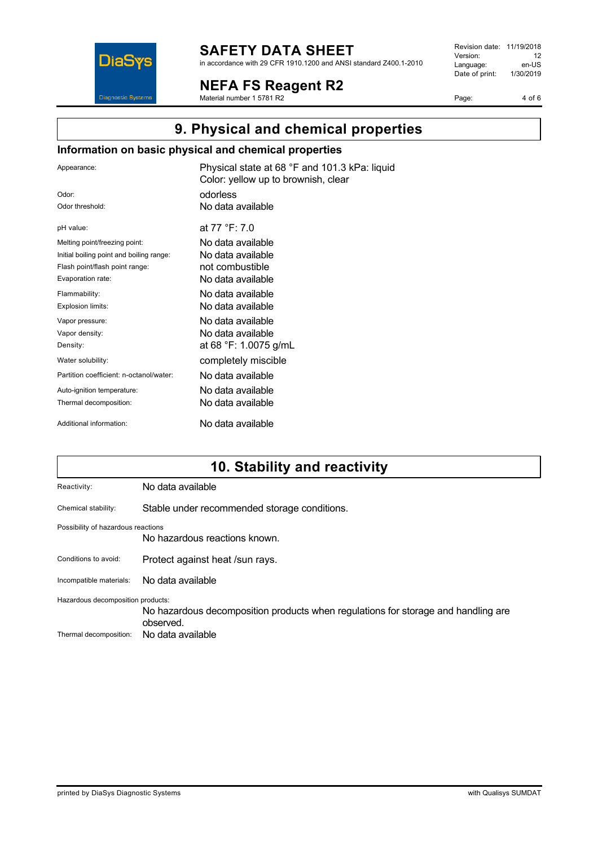

in accordance with 29 CFR 1910.1200 and ANSI standard Z400.1-2010

**NEFA FS Reagent R2**

Material number 1 5781 R2

Revision date: 11/19/2018 Version: 12<br>
Language: en-US Language: en-US<br>Date of print: 1/30/2019  $Date$  of print:

Page: 4 of 6

# **9. Physical and chemical properties**

## **Information on basic physical and chemical properties**

| Appearance:                              | Physical state at 68 °F and 101.3 kPa: liquid<br>Color: yellow up to brownish, clear |
|------------------------------------------|--------------------------------------------------------------------------------------|
| Odor:                                    | odorless                                                                             |
| Odor threshold:                          | No data available                                                                    |
| pH value:                                | at 77 °F: 7.0                                                                        |
| Melting point/freezing point:            | No data available                                                                    |
| Initial boiling point and boiling range: | No data available                                                                    |
| Flash point/flash point range:           | not combustible                                                                      |
| Evaporation rate:                        | No data available                                                                    |
| Flammability:                            | No data available                                                                    |
| Explosion limits:                        | No data available                                                                    |
| Vapor pressure:                          | No data available                                                                    |
| Vapor density:                           | No data available                                                                    |
| Density:                                 | at 68 °F: 1.0075 g/mL                                                                |
| Water solubility:                        | completely miscible                                                                  |
| Partition coefficient: n-octanol/water:  | No data available                                                                    |
| Auto-ignition temperature:               | No data available                                                                    |
| Thermal decomposition:                   | No data available                                                                    |
| Additional information:                  | No data available                                                                    |

# **10. Stability and reactivity**

| No data available                                                                                                                                        |  |
|----------------------------------------------------------------------------------------------------------------------------------------------------------|--|
| Stable under recommended storage conditions.                                                                                                             |  |
| Possibility of hazardous reactions<br>No hazardous reactions known.                                                                                      |  |
| Protect against heat /sun rays.                                                                                                                          |  |
| No data available                                                                                                                                        |  |
| Hazardous decomposition products:<br>No hazardous decomposition products when regulations for storage and handling are<br>observed.<br>No data available |  |
|                                                                                                                                                          |  |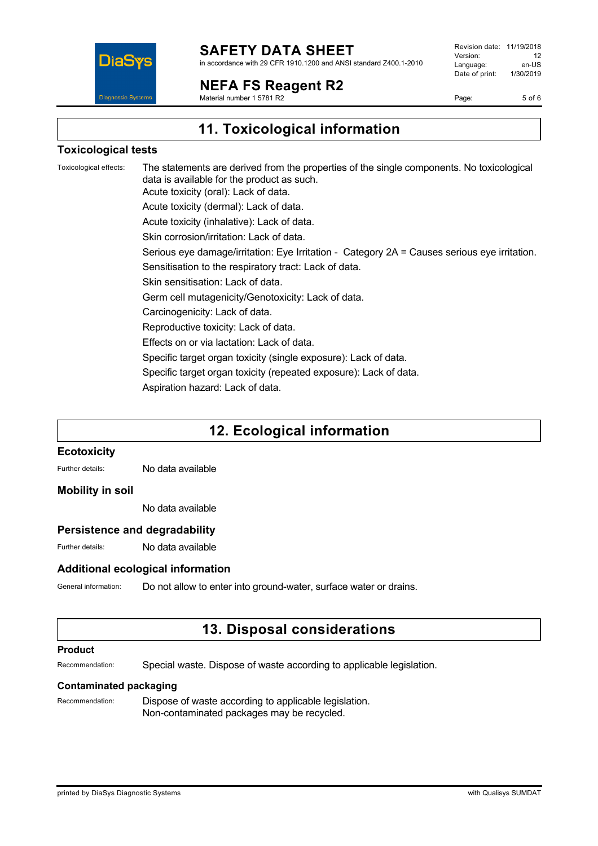

in accordance with 29 CFR 1910.1200 and ANSI standard Z400.1-2010

**NEFA FS Reagent R2**

Material number 1 5781 R2

Revision date: 11/19/2018 Version: 12<br>Language: en-LIS Language: en-US<br>Date of print: 1/30/2019  $Date$  of print:

Page: 5 of 6

**11. Toxicological information**

### **Toxicological tests**

Toxicological effects: The statements are derived from the properties of the single components. No toxicological data is available for the product as such. Acute toxicity (oral): Lack of data. Acute toxicity (dermal): Lack of data. Acute toxicity (inhalative): Lack of data. Skin corrosion/irritation: Lack of data. Serious eye damage/irritation: Eye Irritation - Category 2A = Causes serious eye irritation. Sensitisation to the respiratory tract: Lack of data. Skin sensitisation: Lack of data. Germ cell mutagenicity/Genotoxicity: Lack of data. Carcinogenicity: Lack of data. Reproductive toxicity: Lack of data. Effects on or via lactation: Lack of data. Specific target organ toxicity (single exposure): Lack of data. Specific target organ toxicity (repeated exposure): Lack of data. Aspiration hazard: Lack of data.

# **12. Ecological information**

#### **Ecotoxicity**

Further details: No data available

#### **Mobility in soil**

No data available

### **Persistence and degradability**

Further details: No data available

### **Additional ecological information**

General information: Do not allow to enter into ground-water, surface water or drains.

# **13. Disposal considerations**

#### **Product**

Recommendation: Special waste. Dispose of waste according to applicable legislation.

#### **Contaminated packaging**

Recommendation: Dispose of waste according to applicable legislation. Non-contaminated packages may be recycled.